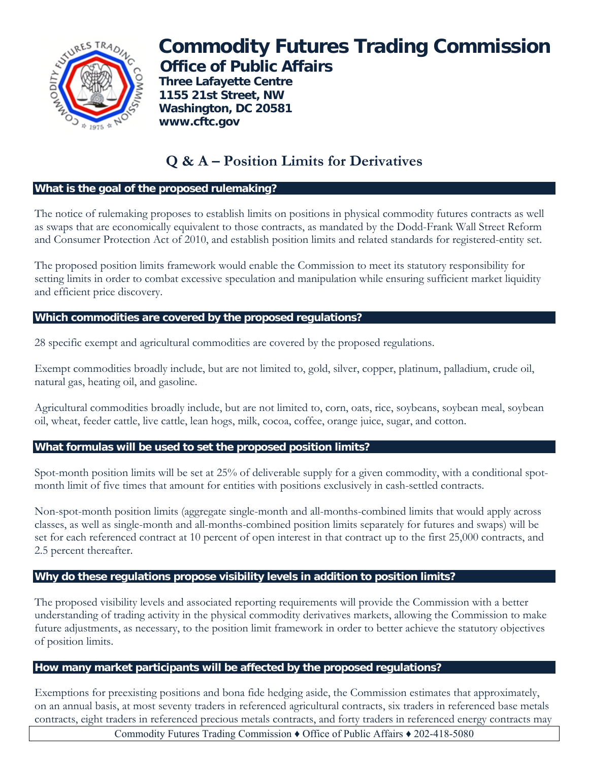

# **Commodity Futures Trading Commission Office of Public Affairs**

 **Three Lafayette Centre 1155 21st Street, NW Washington, DC 20581 www.cftc.gov**

# **Q & A – Position Limits for Derivatives**

#### **What is the goal of the proposed rulemaking?**

The notice of rulemaking proposes to establish limits on positions in physical commodity futures contracts as well as swaps that are economically equivalent to those contracts, as mandated by the Dodd-Frank Wall Street Reform and Consumer Protection Act of 2010, and establish position limits and related standards for registered-entity set.

The proposed position limits framework would enable the Commission to meet its statutory responsibility for setting limits in order to combat excessive speculation and manipulation while ensuring sufficient market liquidity and efficient price discovery.

#### **Which commodities are covered by the proposed regulations?**

28 specific exempt and agricultural commodities are covered by the proposed regulations.

Exempt commodities broadly include, but are not limited to, gold, silver, copper, platinum, palladium, crude oil, natural gas, heating oil, and gasoline.

Agricultural commodities broadly include, but are not limited to, corn, oats, rice, soybeans, soybean meal, soybean oil, wheat, feeder cattle, live cattle, lean hogs, milk, cocoa, coffee, orange juice, sugar, and cotton.

## **What formulas will be used to set the proposed position limits?**

Spot-month position limits will be set at 25% of deliverable supply for a given commodity, with a conditional spotmonth limit of five times that amount for entities with positions exclusively in cash-settled contracts.

Non-spot-month position limits (aggregate single-month and all-months-combined limits that would apply across classes, as well as single-month and all-months-combined position limits separately for futures and swaps) will be set for each referenced contract at 10 percent of open interest in that contract up to the first 25,000 contracts, and 2.5 percent thereafter.

## **Why do these regulations propose visibility levels in addition to position limits?**

The proposed visibility levels and associated reporting requirements will provide the Commission with a better understanding of trading activity in the physical commodity derivatives markets, allowing the Commission to make future adjustments, as necessary, to the position limit framework in order to better achieve the statutory objectives of position limits.

#### **How many market participants will be affected by the proposed regulations?**

Exemptions for preexisting positions and bona fide hedging aside, the Commission estimates that approximately, on an annual basis, at most seventy traders in referenced agricultural contracts, six traders in referenced base metals contracts, eight traders in referenced precious metals contracts, and forty traders in referenced energy contracts may

#### Commodity Futures Trading Commission ♦ Office of Public Affairs ♦ 202-418-5080